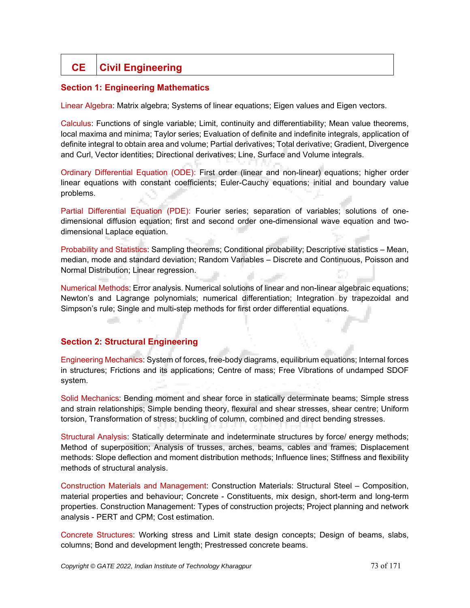# **CE Civil Engineering**

## **Section 1: Engineering Mathematics**

Linear Algebra: Matrix algebra; Systems of linear equations; Eigen values and Eigen vectors.

Calculus: Functions of single variable; Limit, continuity and differentiability; Mean value theorems, local maxima and minima; Taylor series; Evaluation of definite and indefinite integrals, application of definite integral to obtain area and volume; Partial derivatives; Total derivative; Gradient, Divergence and Curl, Vector identities; Directional derivatives; Line, Surface and Volume integrals.

Ordinary Differential Equation (ODE): First order (linear and non-linear) equations; higher order linear equations with constant coefficients; Euler-Cauchy equations; initial and boundary value problems.

Partial Differential Equation (PDE): Fourier series; separation of variables; solutions of onedimensional diffusion equation; first and second order one-dimensional wave equation and twodimensional Laplace equation.

Probability and Statistics: Sampling theorems; Conditional probability; Descriptive statistics – Mean, median, mode and standard deviation; Random Variables – Discrete and Continuous, Poisson and Normal Distribution; Linear regression.

Numerical Methods: Error analysis. Numerical solutions of linear and non-linear algebraic equations; Newton's and Lagrange polynomials; numerical differentiation; Integration by trapezoidal and Simpson's rule; Single and multi-step methods for first order differential equations.

## **Section 2: Structural Engineering**

التوازي

Engineering Mechanics: System of forces, free-body diagrams, equilibrium equations; Internal forces in structures; Frictions and its applications; Centre of mass; Free Vibrations of undamped SDOF system.

Solid Mechanics: Bending moment and shear force in statically determinate beams; Simple stress and strain relationships; Simple bending theory, flexural and shear stresses, shear centre; Uniform torsion, Transformation of stress; buckling of column, combined and direct bending stresses.

Structural Analysis: Statically determinate and indeterminate structures by force/ energy methods; Method of superposition; Analysis of trusses, arches, beams, cables and frames; Displacement methods: Slope deflection and moment distribution methods; Influence lines; Stiffness and flexibility methods of structural analysis.

Construction Materials and Management: Construction Materials: Structural Steel – Composition, material properties and behaviour; Concrete - Constituents, mix design, short-term and long-term properties. Construction Management: Types of construction projects; Project planning and network analysis - PERT and CPM; Cost estimation.

Concrete Structures: Working stress and Limit state design concepts; Design of beams, slabs, columns; Bond and development length; Prestressed concrete beams.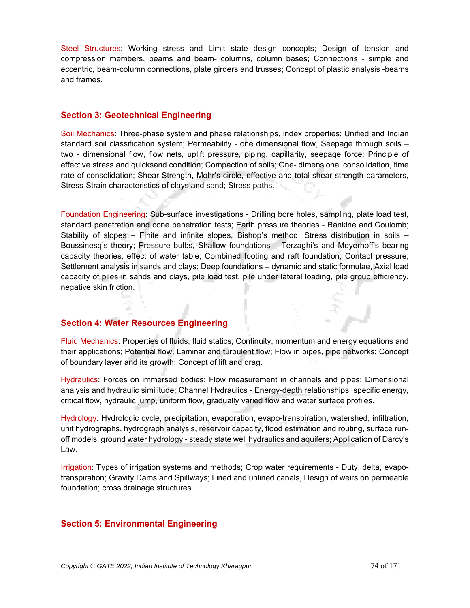Steel Structures: Working stress and Limit state design concepts; Design of tension and compression members, beams and beam- columns, column bases; Connections - simple and eccentric, beam-column connections, plate girders and trusses; Concept of plastic analysis -beams and frames.

#### **Section 3: Geotechnical Engineering**

Soil Mechanics: Three-phase system and phase relationships, index properties; Unified and Indian standard soil classification system; Permeability - one dimensional flow, Seepage through soils – two - dimensional flow, flow nets, uplift pressure, piping, capillarity, seepage force; Principle of effective stress and quicksand condition; Compaction of soils; One- dimensional consolidation, time rate of consolidation; Shear Strength, Mohr's circle, effective and total shear strength parameters, Stress-Strain characteristics of clays and sand; Stress paths.

Foundation Engineering: Sub-surface investigations - Drilling bore holes, sampling, plate load test, standard penetration and cone penetration tests; Earth pressure theories - Rankine and Coulomb; Stability of slopes – Finite and infinite slopes, Bishop's method; Stress distribution in soils – Boussinesq's theory; Pressure bulbs, Shallow foundations – Terzaghi's and Meyerhoff's bearing capacity theories, effect of water table; Combined footing and raft foundation; Contact pressure; Settlement analysis in sands and clays; Deep foundations – dynamic and static formulae, Axial load capacity of piles in sands and clays, pile load test, pile under lateral loading, pile group efficiency, negative skin friction.

#### **Section 4: Water Resources Engineering**

Fluid Mechanics: Properties of fluids, fluid statics; Continuity, momentum and energy equations and their applications; Potential flow, Laminar and turbulent flow; Flow in pipes, pipe networks; Concept of boundary layer and its growth; Concept of lift and drag.

Hydraulics: Forces on immersed bodies; Flow measurement in channels and pipes; Dimensional analysis and hydraulic similitude; Channel Hydraulics - Energy-depth relationships, specific energy, critical flow, hydraulic jump, uniform flow, gradually varied flow and water surface profiles.

Hydrology: Hydrologic cycle, precipitation, evaporation, evapo-transpiration, watershed, infiltration, unit hydrographs, hydrograph analysis, reservoir capacity, flood estimation and routing, surface runoff models, ground water hydrology - steady state well hydraulics and aquifers; Application of Darcy's Law.

Irrigation: Types of irrigation systems and methods; Crop water requirements - Duty, delta, evapotranspiration; Gravity Dams and Spillways; Lined and unlined canals, Design of weirs on permeable foundation; cross drainage structures.

## **Section 5: Environmental Engineering**

š.